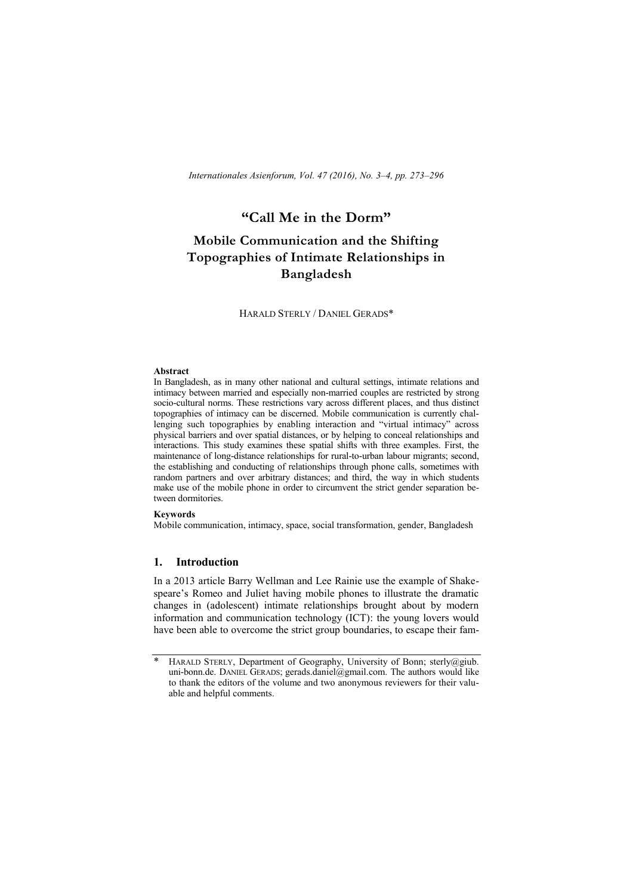# **"Call Me in the Dorm"**

# **Mobile Communication and the Shifting Topographies of Intimate Relationships in Bangladesh**

HARALD STERLY / DANIEL GERADS\*

#### **Abstract**

In Bangladesh, as in many other national and cultural settings, intimate relations and intimacy between married and especially non-married couples are restricted by strong socio-cultural norms. These restrictions vary across different places, and thus distinct topographies of intimacy can be discerned. Mobile communication is currently challenging such topographies by enabling interaction and "virtual intimacy" across physical barriers and over spatial distances, or by helping to conceal relationships and interactions. This study examines these spatial shifts with three examples. First, the maintenance of long-distance relationships for rural-to-urban labour migrants; second, the establishing and conducting of relationships through phone calls, sometimes with random partners and over arbitrary distances; and third, the way in which students make use of the mobile phone in order to circumvent the strict gender separation between dormitories.

#### **Keywords**

Mobile communication, intimacy, space, social transformation, gender, Bangladesh

## **1. Introduction**

In a 2013 article Barry Wellman and Lee Rainie use the example of Shakespeare's Romeo and Juliet having mobile phones to illustrate the dramatic changes in (adolescent) intimate relationships brought about by modern information and communication technology (ICT): the young lovers would have been able to overcome the strict group boundaries, to escape their fam-

<sup>\*</sup> HARALD STERLY, Department of Geography, University of Bonn; sterly@giub. uni-bonn.de. DANIEL GERADS; gerads.daniel@gmail.com. The authors would like to thank the editors of the volume and two anonymous reviewers for their valuable and helpful comments.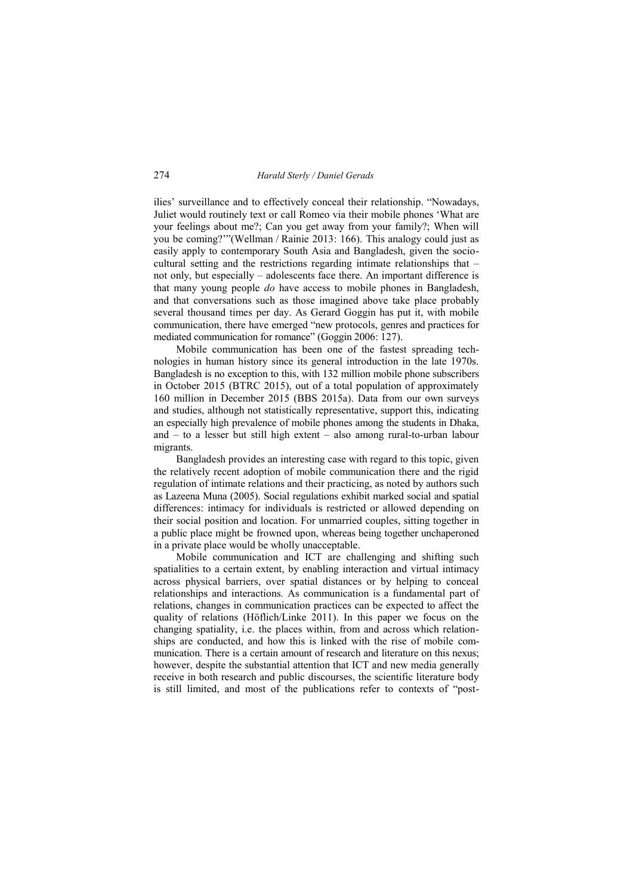ilies' surveillance and to effectively conceal their relationship. "Nowadays, Juliet would routinely text or call Romeo via their mobile phones 'What are your feelings about me?; Can you get away from your family?; When will you be coming?'"(Wellman / Rainie 2013: 166). This analogy could just as easily apply to contemporary South Asia and Bangladesh, given the sociocultural setting and the restrictions regarding intimate relationships that – not only, but especially – adolescents face there. An important difference is that many young people *do* have access to mobile phones in Bangladesh, and that conversations such as those imagined above take place probably several thousand times per day. As Gerard Goggin has put it, with mobile communication, there have emerged "new protocols, genres and practices for mediated communication for romance" (Goggin 2006: 127).

Mobile communication has been one of the fastest spreading technologies in human history since its general introduction in the late 1970s. Bangladesh is no exception to this, with 132 million mobile phone subscribers in October 2015 (BTRC 2015), out of a total population of approximately 160 million in December 2015 (BBS 2015a). Data from our own surveys and studies, although not statistically representative, support this, indicating an especially high prevalence of mobile phones among the students in Dhaka, and – to a lesser but still high extent – also among rural-to-urban labour migrants.

Bangladesh provides an interesting case with regard to this topic, given the relatively recent adoption of mobile communication there and the rigid regulation of intimate relations and their practicing, as noted by authors such as Lazeena Muna (2005). Social regulations exhibit marked social and spatial differences: intimacy for individuals is restricted or allowed depending on their social position and location. For unmarried couples, sitting together in a public place might be frowned upon, whereas being together unchaperoned in a private place would be wholly unacceptable.

Mobile communication and ICT are challenging and shifting such spatialities to a certain extent, by enabling interaction and virtual intimacy across physical barriers, over spatial distances or by helping to conceal relationships and interactions. As communication is a fundamental part of relations, changes in communication practices can be expected to affect the quality of relations (Höflich/Linke 2011). In this paper we focus on the changing spatiality, i.e. the places within, from and across which relationships are conducted, and how this is linked with the rise of mobile communication. There is a certain amount of research and literature on this nexus; however, despite the substantial attention that ICT and new media generally receive in both research and public discourses, the scientific literature body is still limited, and most of the publications refer to contexts of "post-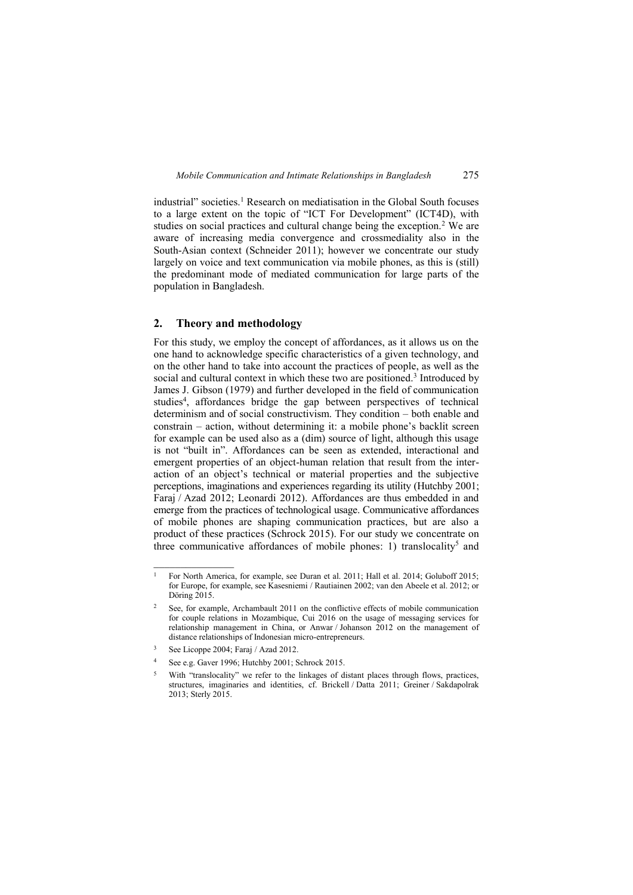$industrial"$  societies.<sup>1</sup> Research on mediatisation in the Global South focuses to a large extent on the topic of "ICT For Development" (ICT4D), with studies on social practices and cultural change being the exception.<sup>2</sup> We are aware of increasing media convergence and crossmediality also in the South-Asian context (Schneider 2011); however we concentrate our study largely on voice and text communication via mobile phones, as this is (still) the predominant mode of mediated communication for large parts of the population in Bangladesh.

## **2. Theory and methodology**

For this study, we employ the concept of affordances, as it allows us on the one hand to acknowledge specific characteristics of a given technology, and on the other hand to take into account the practices of people, as well as the social and cultural context in which these two are positioned.<sup>3</sup> Introduced by James J. Gibson (1979) and further developed in the field of communication studies<sup>4</sup>, affordances bridge the gap between perspectives of technical determinism and of social constructivism. They condition – both enable and constrain – action, without determining it: a mobile phone's backlit screen for example can be used also as a (dim) source of light, although this usage is not "built in". Affordances can be seen as extended, interactional and emergent properties of an object-human relation that result from the interaction of an object's technical or material properties and the subjective perceptions, imaginations and experiences regarding its utility (Hutchby 2001; Faraj / Azad 2012; Leonardi 2012). Affordances are thus embedded in and emerge from the practices of technological usage. Communicative affordances of mobile phones are shaping communication practices, but are also a product of these practices (Schrock 2015). For our study we concentrate on three communicative affordances of mobile phones: 1) translocality<sup>5</sup> and

<sup>&</sup>lt;sup>1</sup> For North America, for example, see Duran et al. 2011; Hall et al. 2014; Goluboff 2015; for Europe, for example, see Kasesniemi / Rautiainen 2002; van den Abeele et al. 2012; or Döring 2015.

<sup>&</sup>lt;sup>2</sup> See, for example, Archambault 2011 on the conflictive effects of mobile communication for couple relations in Mozambique, Cui 2016 on the usage of messaging services for relationship management in China, or Anwar / Johanson 2012 on the management of distance relationships of Indonesian micro-entrepreneurs.

<sup>3</sup> See Licoppe 2004; Faraj / Azad 2012.

<sup>4</sup> See e.g. Gaver 1996; Hutchby 2001; Schrock 2015.

<sup>&</sup>lt;sup>5</sup> With "translocality" we refer to the linkages of distant places through flows, practices, structures, imaginaries and identities, cf. Brickell / Datta 2011; Greiner / Sakdapolrak 2013; Sterly 2015.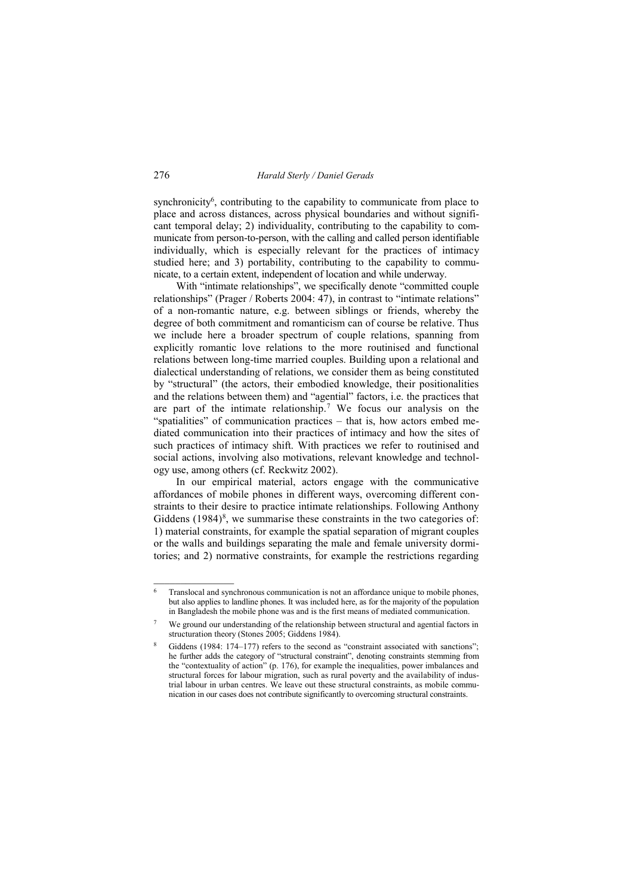synchronicity<sup>6</sup>, contributing to the capability to communicate from place to place and across distances, across physical boundaries and without significant temporal delay; 2) individuality, contributing to the capability to communicate from person-to-person, with the calling and called person identifiable individually, which is especially relevant for the practices of intimacy studied here; and 3) portability, contributing to the capability to communicate, to a certain extent, independent of location and while underway.

With "intimate relationships", we specifically denote "committed couple relationships" (Prager / Roberts 2004: 47), in contrast to "intimate relations" of a non-romantic nature, e.g. between siblings or friends, whereby the degree of both commitment and romanticism can of course be relative. Thus we include here a broader spectrum of couple relations, spanning from explicitly romantic love relations to the more routinised and functional relations between long-time married couples. Building upon a relational and dialectical understanding of relations, we consider them as being constituted by "structural" (the actors, their embodied knowledge, their positionalities and the relations between them) and "agential" factors, i.e. the practices that are part of the intimate relationship.<sup>7</sup> We focus our analysis on the "spatialities" of communication practices – that is, how actors embed mediated communication into their practices of intimacy and how the sites of such practices of intimacy shift. With practices we refer to routinised and social actions, involving also motivations, relevant knowledge and technology use, among others (cf. Reckwitz 2002).

In our empirical material, actors engage with the communicative affordances of mobile phones in different ways, overcoming different constraints to their desire to practice intimate relationships. Following Anthony Giddens  $(1984)^8$ , we summarise these constraints in the two categories of: 1) material constraints, for example the spatial separation of migrant couples or the walls and buildings separating the male and female university dormitories; and 2) normative constraints, for example the restrictions regarding

<sup>&</sup>lt;sup>6</sup> Translocal and synchronous communication is not an affordance unique to mobile phones, but also applies to landline phones. It was included here, as for the majority of the population in Bangladesh the mobile phone was and is the first means of mediated communication.

<sup>&</sup>lt;sup>7</sup> We ground our understanding of the relationship between structural and agential factors in structuration theory (Stones 2005; Giddens 1984).

Giddens (1984: 174–177) refers to the second as "constraint associated with sanctions"; he further adds the category of "structural constraint", denoting constraints stemming from the "contextuality of action" (p. 176), for example the inequalities, power imbalances and structural forces for labour migration, such as rural poverty and the availability of industrial labour in urban centres. We leave out these structural constraints, as mobile communication in our cases does not contribute significantly to overcoming structural constraints.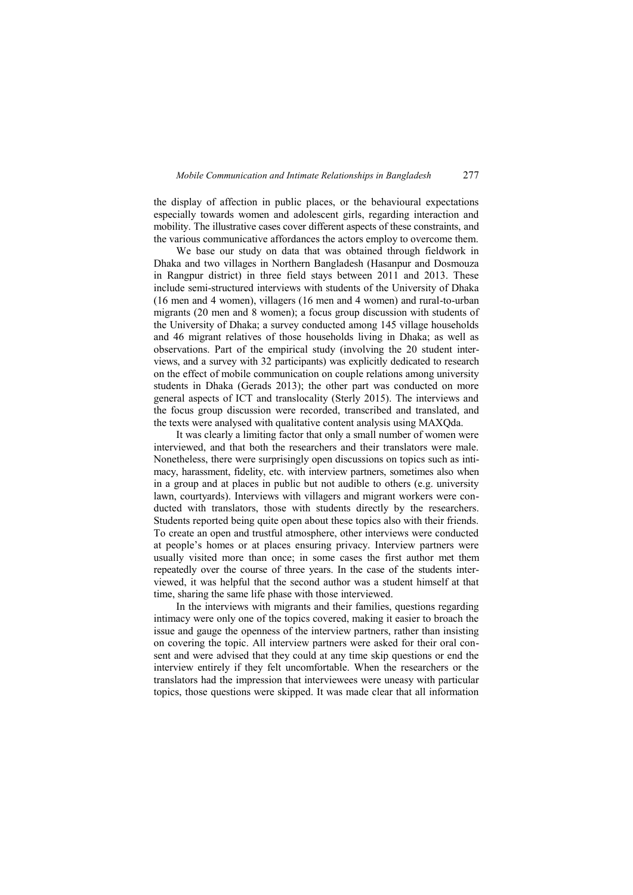the display of affection in public places, or the behavioural expectations especially towards women and adolescent girls, regarding interaction and mobility. The illustrative cases cover different aspects of these constraints, and the various communicative affordances the actors employ to overcome them.

We base our study on data that was obtained through fieldwork in Dhaka and two villages in Northern Bangladesh (Hasanpur and Dosmouza in Rangpur district) in three field stays between 2011 and 2013. These include semi-structured interviews with students of the University of Dhaka (16 men and 4 women), villagers (16 men and 4 women) and rural-to-urban migrants (20 men and 8 women); a focus group discussion with students of the University of Dhaka; a survey conducted among 145 village households and 46 migrant relatives of those households living in Dhaka; as well as observations. Part of the empirical study (involving the 20 student interviews, and a survey with 32 participants) was explicitly dedicated to research on the effect of mobile communication on couple relations among university students in Dhaka (Gerads 2013); the other part was conducted on more general aspects of ICT and translocality (Sterly 2015). The interviews and the focus group discussion were recorded, transcribed and translated, and the texts were analysed with qualitative content analysis using MAXQda.

It was clearly a limiting factor that only a small number of women were interviewed, and that both the researchers and their translators were male. Nonetheless, there were surprisingly open discussions on topics such as intimacy, harassment, fidelity, etc. with interview partners, sometimes also when in a group and at places in public but not audible to others (e.g. university lawn, courtyards). Interviews with villagers and migrant workers were conducted with translators, those with students directly by the researchers. Students reported being quite open about these topics also with their friends. To create an open and trustful atmosphere, other interviews were conducted at people's homes or at places ensuring privacy. Interview partners were usually visited more than once; in some cases the first author met them repeatedly over the course of three years. In the case of the students interviewed, it was helpful that the second author was a student himself at that time, sharing the same life phase with those interviewed.

In the interviews with migrants and their families, questions regarding intimacy were only one of the topics covered, making it easier to broach the issue and gauge the openness of the interview partners, rather than insisting on covering the topic. All interview partners were asked for their oral consent and were advised that they could at any time skip questions or end the interview entirely if they felt uncomfortable. When the researchers or the translators had the impression that interviewees were uneasy with particular topics, those questions were skipped. It was made clear that all information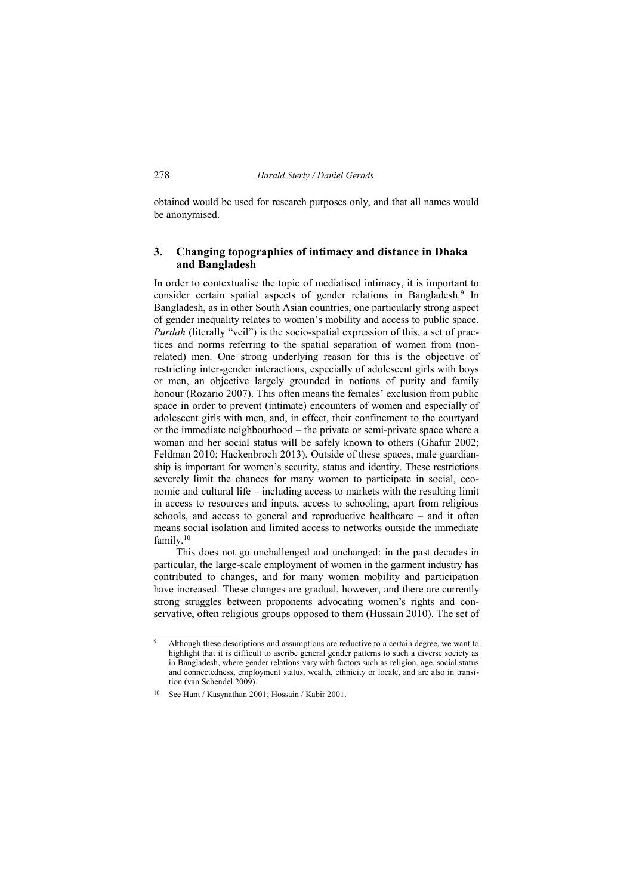obtained would be used for research purposes only, and that all names would be anonymised.

# **3. Changing topographies of intimacy and distance in Dhaka and Bangladesh**

In order to contextualise the topic of mediatised intimacy, it is important to consider certain spatial aspects of gender relations in Bangladesh.<sup>9</sup> In Bangladesh, as in other South Asian countries, one particularly strong aspect of gender inequality relates to women's mobility and access to public space. *Purdah* (literally "veil") is the socio-spatial expression of this, a set of practices and norms referring to the spatial separation of women from (nonrelated) men. One strong underlying reason for this is the objective of restricting inter-gender interactions, especially of adolescent girls with boys or men, an objective largely grounded in notions of purity and family honour (Rozario 2007). This often means the females' exclusion from public space in order to prevent (intimate) encounters of women and especially of adolescent girls with men, and, in effect, their confinement to the courtyard or the immediate neighbourhood – the private or semi-private space where a woman and her social status will be safely known to others (Ghafur 2002; Feldman 2010; Hackenbroch 2013). Outside of these spaces, male guardianship is important for women's security, status and identity. These restrictions severely limit the chances for many women to participate in social, economic and cultural life – including access to markets with the resulting limit in access to resources and inputs, access to schooling, apart from religious schools, and access to general and reproductive healthcare – and it often means social isolation and limited access to networks outside the immediate family.<sup>10</sup>

This does not go unchallenged and unchanged: in the past decades in particular, the large-scale employment of women in the garment industry has contributed to changes, and for many women mobility and participation have increased. These changes are gradual, however, and there are currently strong struggles between proponents advocating women's rights and conservative, often religious groups opposed to them (Hussain 2010). The set of

<sup>9</sup> Although these descriptions and assumptions are reductive to a certain degree, we want to highlight that it is difficult to ascribe general gender patterns to such a diverse society as in Bangladesh, where gender relations vary with factors such as religion, age, social status and connectedness, employment status, wealth, ethnicity or locale, and are also in transition (van Schendel 2009).

<sup>10</sup> See Hunt / Kasynathan 2001; Hossain / Kabir 2001.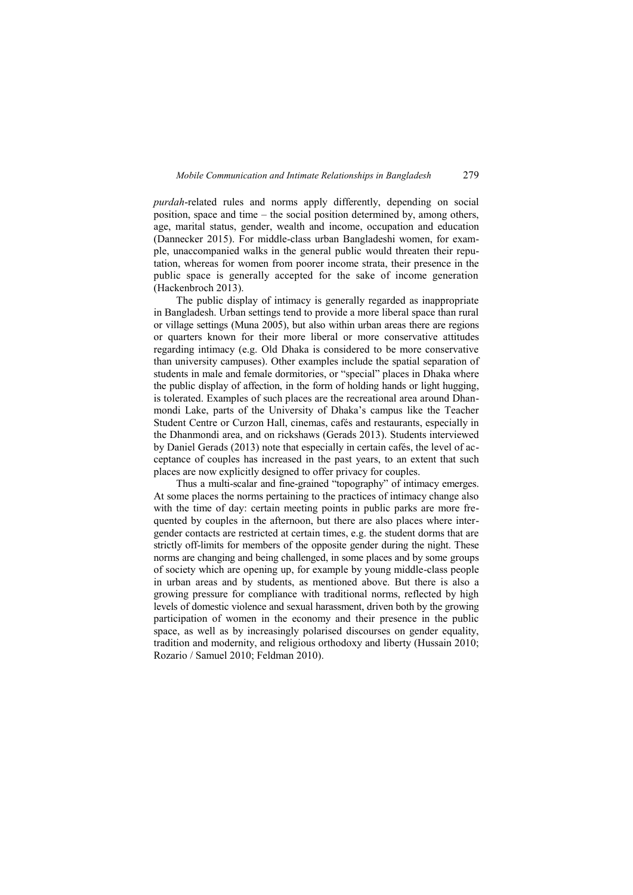*purdah*-related rules and norms apply differently, depending on social position, space and time – the social position determined by, among others, age, marital status, gender, wealth and income, occupation and education (Dannecker 2015). For middle-class urban Bangladeshi women, for example, unaccompanied walks in the general public would threaten their reputation, whereas for women from poorer income strata, their presence in the public space is generally accepted for the sake of income generation (Hackenbroch 2013).

The public display of intimacy is generally regarded as inappropriate in Bangladesh. Urban settings tend to provide a more liberal space than rural or village settings (Muna 2005), but also within urban areas there are regions or quarters known for their more liberal or more conservative attitudes regarding intimacy (e.g. Old Dhaka is considered to be more conservative than university campuses). Other examples include the spatial separation of students in male and female dormitories, or "special" places in Dhaka where the public display of affection, in the form of holding hands or light hugging, is tolerated. Examples of such places are the recreational area around Dhanmondi Lake, parts of the University of Dhaka's campus like the Teacher Student Centre or Curzon Hall, cinemas, cafés and restaurants, especially in the Dhanmondi area, and on rickshaws (Gerads 2013). Students interviewed by Daniel Gerads (2013) note that especially in certain cafés, the level of acceptance of couples has increased in the past years, to an extent that such places are now explicitly designed to offer privacy for couples.

Thus a multi-scalar and fine-grained "topography" of intimacy emerges. At some places the norms pertaining to the practices of intimacy change also with the time of day: certain meeting points in public parks are more frequented by couples in the afternoon, but there are also places where intergender contacts are restricted at certain times, e.g. the student dorms that are strictly off-limits for members of the opposite gender during the night. These norms are changing and being challenged, in some places and by some groups of society which are opening up, for example by young middle-class people in urban areas and by students, as mentioned above. But there is also a growing pressure for compliance with traditional norms, reflected by high levels of domestic violence and sexual harassment, driven both by the growing participation of women in the economy and their presence in the public space, as well as by increasingly polarised discourses on gender equality, tradition and modernity, and religious orthodoxy and liberty (Hussain 2010; Rozario / Samuel 2010; Feldman 2010).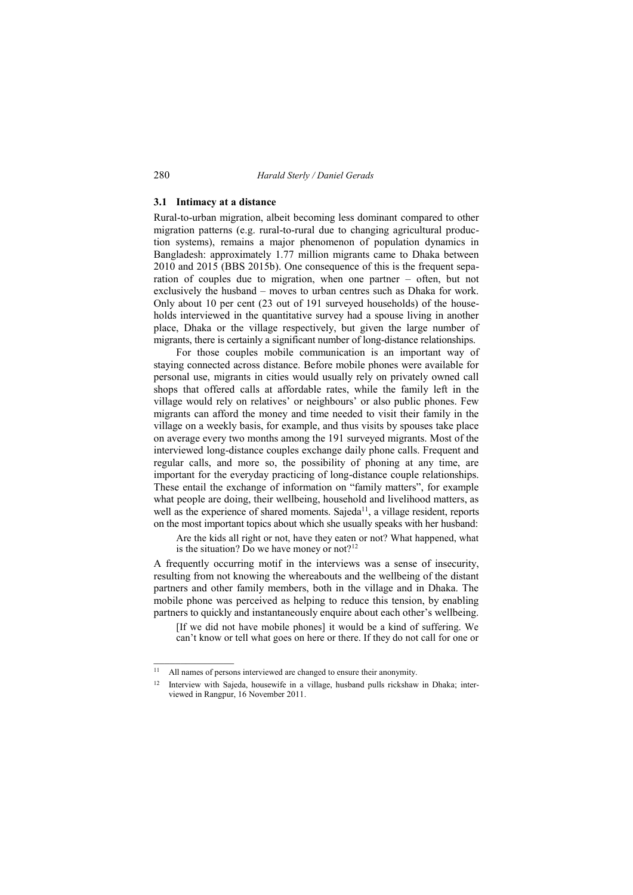#### **3.1 Intimacy at a distance**

Rural-to-urban migration, albeit becoming less dominant compared to other migration patterns (e.g. rural-to-rural due to changing agricultural production systems), remains a major phenomenon of population dynamics in Bangladesh: approximately 1.77 million migrants came to Dhaka between 2010 and 2015 (BBS 2015b). One consequence of this is the frequent separation of couples due to migration, when one partner – often, but not exclusively the husband – moves to urban centres such as Dhaka for work. Only about 10 per cent (23 out of 191 surveyed households) of the households interviewed in the quantitative survey had a spouse living in another place, Dhaka or the village respectively, but given the large number of migrants, there is certainly a significant number of long-distance relationships.

For those couples mobile communication is an important way of staying connected across distance. Before mobile phones were available for personal use, migrants in cities would usually rely on privately owned call shops that offered calls at affordable rates, while the family left in the village would rely on relatives' or neighbours' or also public phones. Few migrants can afford the money and time needed to visit their family in the village on a weekly basis, for example, and thus visits by spouses take place on average every two months among the 191 surveyed migrants. Most of the interviewed long-distance couples exchange daily phone calls. Frequent and regular calls, and more so, the possibility of phoning at any time, are important for the everyday practicing of long-distance couple relationships. These entail the exchange of information on "family matters", for example what people are doing, their wellbeing, household and livelihood matters, as well as the experience of shared moments. Sajeda<sup>11</sup>, a village resident, reports on the most important topics about which she usually speaks with her husband:

Are the kids all right or not, have they eaten or not? What happened, what is the situation? Do we have money or not? $12$ 

A frequently occurring motif in the interviews was a sense of insecurity, resulting from not knowing the whereabouts and the wellbeing of the distant partners and other family members, both in the village and in Dhaka. The mobile phone was perceived as helping to reduce this tension, by enabling partners to quickly and instantaneously enquire about each other's wellbeing.

[If we did not have mobile phones] it would be a kind of suffering. We can't know or tell what goes on here or there. If they do not call for one or

<sup>&</sup>lt;sup>11</sup> All names of persons interviewed are changed to ensure their anonymity.

<sup>12</sup> Interview with Sajeda, housewife in a village, husband pulls rickshaw in Dhaka; interviewed in Rangpur, 16 November 2011.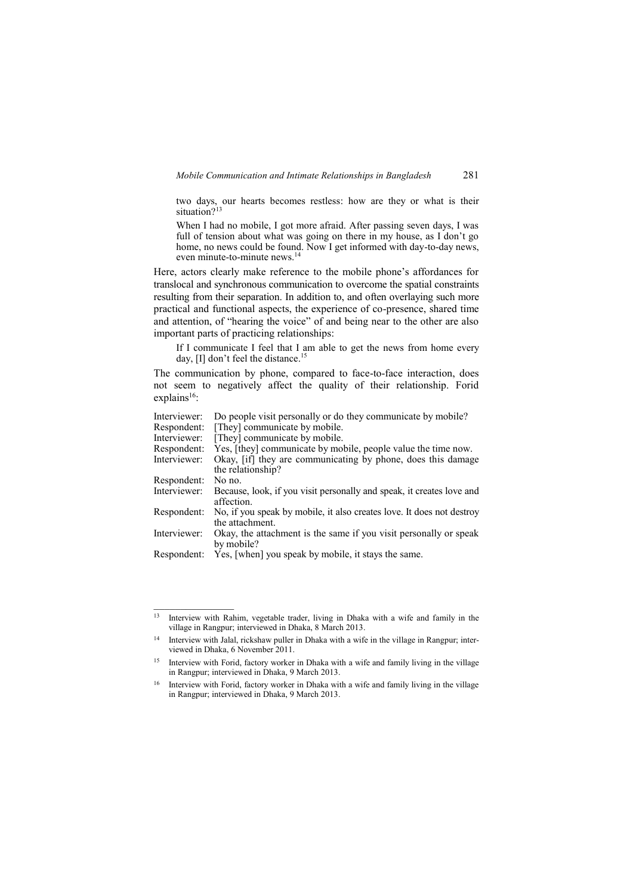two days, our hearts becomes restless: how are they or what is their situation $2^{13}$ 

When I had no mobile. I got more afraid. After passing seven days, I was full of tension about what was going on there in my house, as I don't go home, no news could be found. Now I get informed with day-to-day news, even minute-to-minute news.<sup>14</sup>

Here, actors clearly make reference to the mobile phone's affordances for translocal and synchronous communication to overcome the spatial constraints resulting from their separation. In addition to, and often overlaying such more practical and functional aspects, the experience of co-presence, shared time and attention, of "hearing the voice" of and being near to the other are also important parts of practicing relationships:

If I communicate I feel that I am able to get the news from home every day, [I] don't feel the distance.<sup>15</sup>

The communication by phone, compared to face-to-face interaction, does not seem to negatively affect the quality of their relationship. Forid explains<sup>16</sup>:

| Do people visit personally or do they communicate by mobile?                        |
|-------------------------------------------------------------------------------------|
| [They] communicate by mobile.                                                       |
| [They] communicate by mobile.                                                       |
| Yes, [they] communicate by mobile, people value the time now.                       |
| Okay, [if] they are communicating by phone, does this damage                        |
| the relationship?                                                                   |
| No no.                                                                              |
| Because, look, if you visit personally and speak, it creates love and<br>affection. |
| No, if you speak by mobile, it also creates love. It does not destroy               |
| the attachment.                                                                     |
| Okay, the attachment is the same if you visit personally or speak                   |
| by mobile?                                                                          |
| Yes, [when] you speak by mobile, it stays the same.                                 |
|                                                                                     |

<sup>13</sup> Interview with Rahim, vegetable trader, living in Dhaka with a wife and family in the village in Rangpur; interviewed in Dhaka, 8 March 2013.

<sup>&</sup>lt;sup>14</sup> Interview with Jalal, rickshaw puller in Dhaka with a wife in the village in Rangpur; interviewed in Dhaka, 6 November 2011.

<sup>&</sup>lt;sup>15</sup> Interview with Forid, factory worker in Dhaka with a wife and family living in the village in Rangpur; interviewed in Dhaka, 9 March 2013.

<sup>&</sup>lt;sup>16</sup> Interview with Forid, factory worker in Dhaka with a wife and family living in the village in Rangpur; interviewed in Dhaka, 9 March 2013.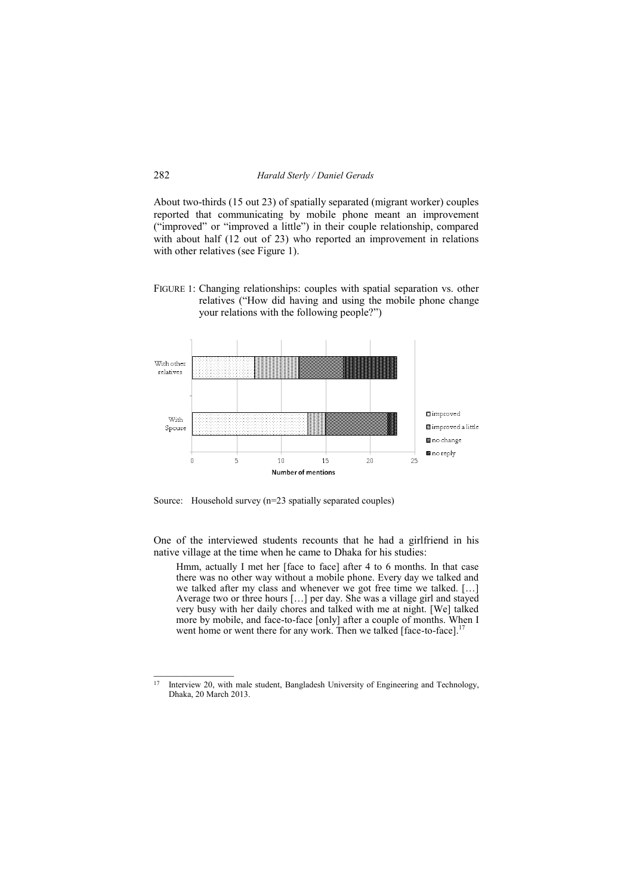About two-thirds (15 out 23) of spatially separated (migrant worker) couples reported that communicating by mobile phone meant an improvement ("improved" or "improved a little") in their couple relationship, compared with about half (12 out of 23) who reported an improvement in relations with other relatives (see Figure 1).

FIGURE 1: Changing relationships: couples with spatial separation vs. other relatives ("How did having and using the mobile phone change your relations with the following people?")



Source: Household survey (n=23 spatially separated couples)

 $\mathcal{L}$  , we have the set of  $\mathcal{L}$ 

One of the interviewed students recounts that he had a girlfriend in his native village at the time when he came to Dhaka for his studies:

Hmm, actually I met her [face to face] after 4 to 6 months. In that case there was no other way without a mobile phone. Every day we talked and we talked after my class and whenever we got free time we talked. […] Average two or three hours […] per day. She was a village girl and stayed very busy with her daily chores and talked with me at night. [We] talked more by mobile, and face-to-face [only] after a couple of months. When I went home or went there for any work. Then we talked [face-to-face].<sup>17</sup>

<sup>17</sup> Interview 20, with male student, Bangladesh University of Engineering and Technology, Dhaka, 20 March 2013.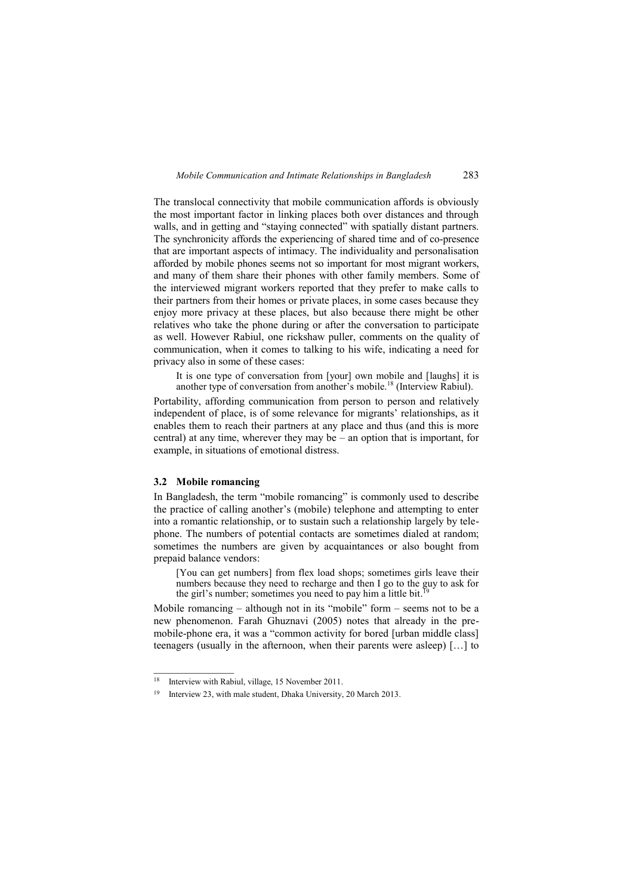The translocal connectivity that mobile communication affords is obviously the most important factor in linking places both over distances and through walls, and in getting and "staying connected" with spatially distant partners. The synchronicity affords the experiencing of shared time and of co-presence that are important aspects of intimacy. The individuality and personalisation afforded by mobile phones seems not so important for most migrant workers, and many of them share their phones with other family members. Some of the interviewed migrant workers reported that they prefer to make calls to their partners from their homes or private places, in some cases because they enjoy more privacy at these places, but also because there might be other relatives who take the phone during or after the conversation to participate as well. However Rabiul, one rickshaw puller, comments on the quality of communication, when it comes to talking to his wife, indicating a need for privacy also in some of these cases:

It is one type of conversation from [your] own mobile and [laughs] it is another type of conversation from another's mobile.<sup>18</sup> (Interview Rabiul).

Portability, affording communication from person to person and relatively independent of place, is of some relevance for migrants' relationships, as it enables them to reach their partners at any place and thus (and this is more central) at any time, wherever they may be – an option that is important, for example, in situations of emotional distress.

#### **3.2 Mobile romancing**

 $\mathcal{L}$  , we have the set of  $\mathcal{L}$ 

In Bangladesh, the term "mobile romancing" is commonly used to describe the practice of calling another's (mobile) telephone and attempting to enter into a romantic relationship, or to sustain such a relationship largely by telephone. The numbers of potential contacts are sometimes dialed at random; sometimes the numbers are given by acquaintances or also bought from prepaid balance vendors:

[You can get numbers] from flex load shops; sometimes girls leave their numbers because they need to recharge and then I go to the guy to ask for the girl's number; sometimes you need to pay him a little bit.<sup>19</sup>

Mobile romancing – although not in its "mobile" form – seems not to be a new phenomenon. Farah Ghuznavi (2005) notes that already in the premobile-phone era, it was a "common activity for bored [urban middle class] teenagers (usually in the afternoon, when their parents were asleep) […] to

<sup>18</sup> Interview with Rabiul, village, 15 November 2011.

<sup>19</sup> Interview 23, with male student, Dhaka University, 20 March 2013.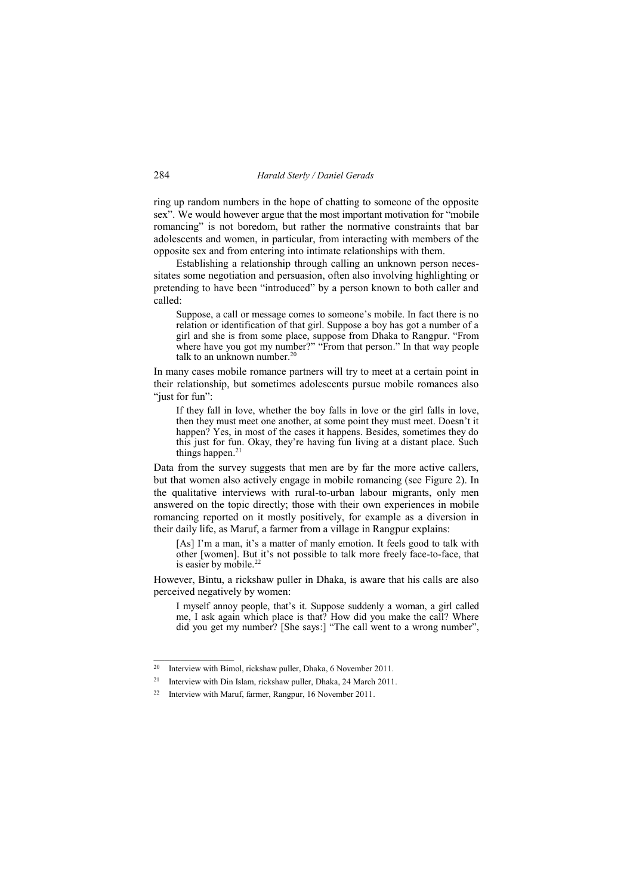ring up random numbers in the hope of chatting to someone of the opposite sex". We would however argue that the most important motivation for "mobile romancing" is not boredom, but rather the normative constraints that bar adolescents and women, in particular, from interacting with members of the opposite sex and from entering into intimate relationships with them.

Establishing a relationship through calling an unknown person necessitates some negotiation and persuasion, often also involving highlighting or pretending to have been "introduced" by a person known to both caller and called:

Suppose, a call or message comes to someone's mobile. In fact there is no relation or identification of that girl. Suppose a boy has got a number of a girl and she is from some place, suppose from Dhaka to Rangpur. "From where have you got my number?" "From that person." In that way people talk to an unknown number.<sup>20</sup>

In many cases mobile romance partners will try to meet at a certain point in their relationship, but sometimes adolescents pursue mobile romances also "just for fun":

If they fall in love, whether the boy falls in love or the girl falls in love, then they must meet one another, at some point they must meet. Doesn't it happen? Yes, in most of the cases it happens. Besides, sometimes they do this just for fun. Okay, they're having fun living at a distant place. Such things happen. $21$ 

Data from the survey suggests that men are by far the more active callers, but that women also actively engage in mobile romancing (see Figure 2). In the qualitative interviews with rural-to-urban labour migrants, only men answered on the topic directly; those with their own experiences in mobile romancing reported on it mostly positively, for example as a diversion in their daily life, as Maruf, a farmer from a village in Rangpur explains:

[As] I'm a man, it's a matter of manly emotion. It feels good to talk with other [women]. But it's not possible to talk more freely face-to-face, that is easier by mobile.<sup>22</sup>

However, Bintu, a rickshaw puller in Dhaka, is aware that his calls are also perceived negatively by women:

I myself annoy people, that's it. Suppose suddenly a woman, a girl called me, I ask again which place is that? How did you make the call? Where did you get my number? [She says:] "The call went to a wrong number",

<sup>20</sup> Interview with Bimol, rickshaw puller, Dhaka, 6 November 2011.

<sup>21</sup> Interview with Din Islam, rickshaw puller, Dhaka, 24 March 2011.

<sup>22</sup> Interview with Maruf, farmer, Rangpur, 16 November 2011.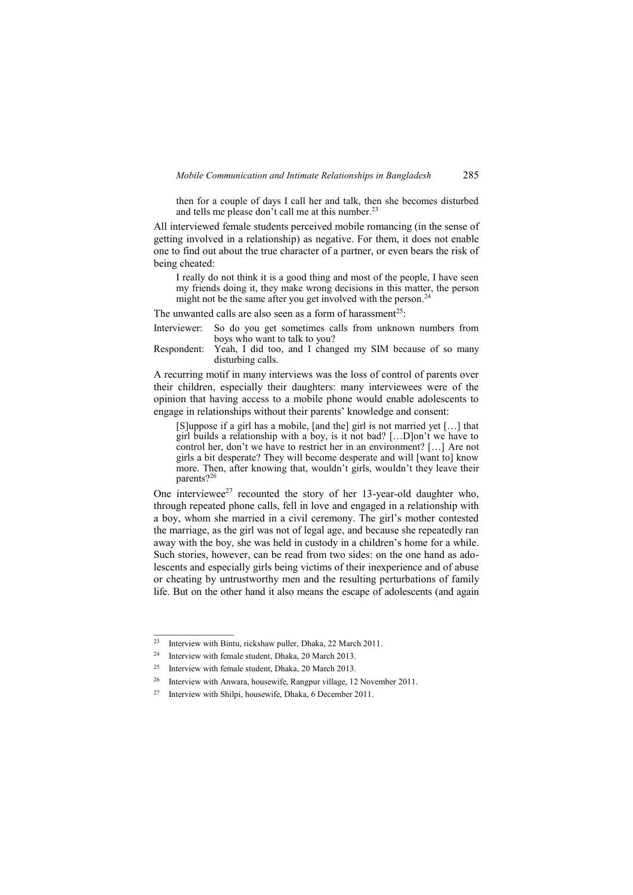then for a couple of days I call her and talk, then she becomes disturbed and tells me please don't call me at this number.<sup>23</sup>

All interviewed female students perceived mobile romancing (in the sense of getting involved in a relationship) as negative. For them, it does not enable one to find out about the true character of a partner, or even bears the risk of being cheated:

I really do not think it is a good thing and most of the people, I have seen my friends doing it, they make wrong decisions in this matter, the person might not be the same after you get involved with the person.<sup>24</sup>

The unwanted calls are also seen as a form of harassment<sup>25.</sup>

Interviewer: So do you get sometimes calls from unknown numbers from boys who want to talk to you?

Respondent: Yeah, I did too, and I changed my SIM because of so many disturbing calls.

A recurring motif in many interviews was the loss of control of parents over their children, especially their daughters: many interviewees were of the opinion that having access to a mobile phone would enable adolescents to engage in relationships without their parents' knowledge and consent:

[S]uppose if a girl has a mobile, [and the] girl is not married yet […] that girl builds a relationship with a boy, is it not bad? […D]on't we have to control her, don't we have to restrict her in an environment? […] Are not girls a bit desperate? They will become desperate and will [want to] know more. Then, after knowing that, wouldn't girls, wouldn't they leave their parents?<sup>26</sup>

One interviewee<sup>27</sup> recounted the story of her 13-year-old daughter who, through repeated phone calls, fell in love and engaged in a relationship with a boy, whom she married in a civil ceremony. The girl's mother contested the marriage, as the girl was not of legal age, and because she repeatedly ran away with the boy, she was held in custody in a children's home for a while. Such stories, however, can be read from two sides: on the one hand as adolescents and especially girls being victims of their inexperience and of abuse or cheating by untrustworthy men and the resulting perturbations of family life. But on the other hand it also means the escape of adolescents (and again

 $\mathcal{L}$  , we have the set of the set of the set of the set of the set of the set of the set of the set of the set of the set of the set of the set of the set of the set of the set of the set of the set of the set of the

<sup>23</sup> Interview with Bintu, rickshaw puller, Dhaka, 22 March 2011.

<sup>24</sup> Interview with female student, Dhaka, 20 March 2013.

<sup>25</sup> Interview with female student, Dhaka, 20 March 2013.

<sup>26</sup> Interview with Anwara, housewife, Rangpur village, 12 November 2011.

<sup>27</sup> Interview with Shilpi, housewife, Dhaka, 6 December 2011.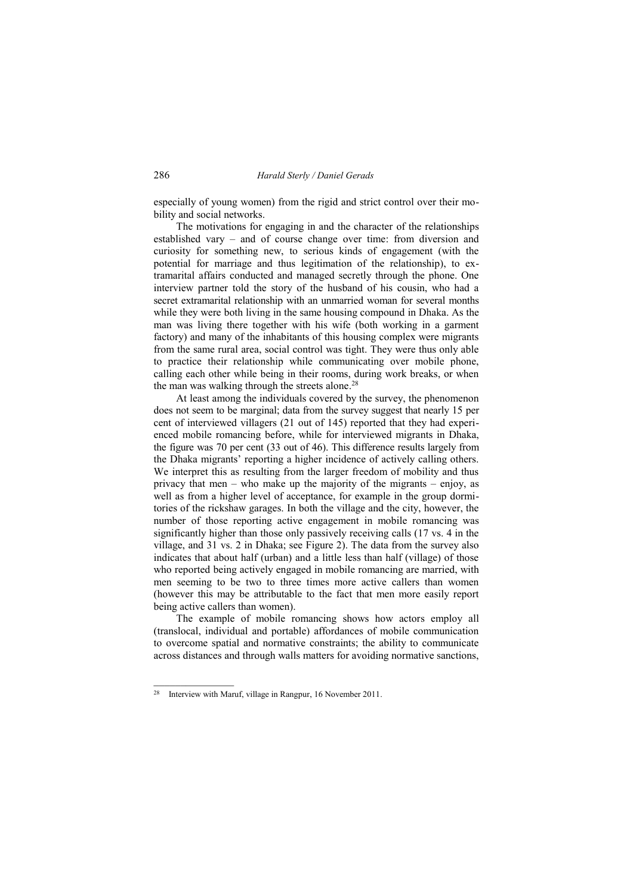especially of young women) from the rigid and strict control over their mobility and social networks.

The motivations for engaging in and the character of the relationships established vary – and of course change over time: from diversion and curiosity for something new, to serious kinds of engagement (with the potential for marriage and thus legitimation of the relationship), to extramarital affairs conducted and managed secretly through the phone. One interview partner told the story of the husband of his cousin, who had a secret extramarital relationship with an unmarried woman for several months while they were both living in the same housing compound in Dhaka. As the man was living there together with his wife (both working in a garment factory) and many of the inhabitants of this housing complex were migrants from the same rural area, social control was tight. They were thus only able to practice their relationship while communicating over mobile phone, calling each other while being in their rooms, during work breaks, or when the man was walking through the streets alone.<sup>28</sup>

At least among the individuals covered by the survey, the phenomenon does not seem to be marginal; data from the survey suggest that nearly 15 per cent of interviewed villagers (21 out of 145) reported that they had experienced mobile romancing before, while for interviewed migrants in Dhaka, the figure was 70 per cent (33 out of 46). This difference results largely from the Dhaka migrants' reporting a higher incidence of actively calling others. We interpret this as resulting from the larger freedom of mobility and thus privacy that men – who make up the majority of the migrants – enjoy, as well as from a higher level of acceptance, for example in the group dormitories of the rickshaw garages. In both the village and the city, however, the number of those reporting active engagement in mobile romancing was significantly higher than those only passively receiving calls (17 vs. 4 in the village, and 31 vs. 2 in Dhaka; see Figure 2). The data from the survey also indicates that about half (urban) and a little less than half (village) of those who reported being actively engaged in mobile romancing are married, with men seeming to be two to three times more active callers than women (however this may be attributable to the fact that men more easily report being active callers than women).

The example of mobile romancing shows how actors employ all (translocal, individual and portable) affordances of mobile communication to overcome spatial and normative constraints; the ability to communicate across distances and through walls matters for avoiding normative sanctions,

<sup>28</sup> Interview with Maruf, village in Rangpur, 16 November 2011.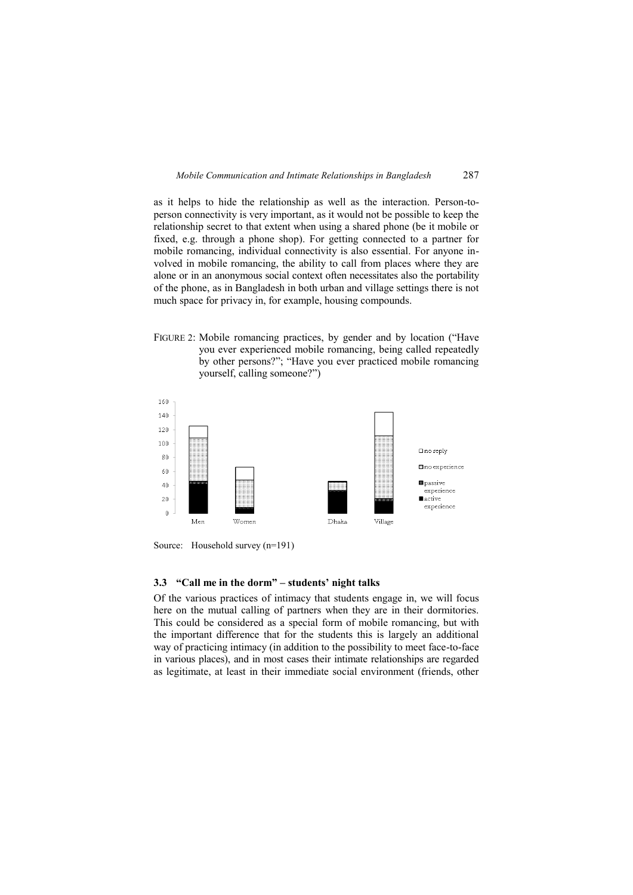as it helps to hide the relationship as well as the interaction. Person-toperson connectivity is very important, as it would not be possible to keep the relationship secret to that extent when using a shared phone (be it mobile or fixed, e.g. through a phone shop). For getting connected to a partner for mobile romancing, individual connectivity is also essential. For anyone involved in mobile romancing, the ability to call from places where they are alone or in an anonymous social context often necessitates also the portability of the phone, as in Bangladesh in both urban and village settings there is not much space for privacy in, for example, housing compounds.

FIGURE 2: Mobile romancing practices, by gender and by location ("Have you ever experienced mobile romancing, being called repeatedly by other persons?"; "Have you ever practiced mobile romancing yourself, calling someone?")



Source: Household survey (n=191)

#### **3.3 "Call me in the dorm" – students' night talks**

Of the various practices of intimacy that students engage in, we will focus here on the mutual calling of partners when they are in their dormitories. This could be considered as a special form of mobile romancing, but with the important difference that for the students this is largely an additional way of practicing intimacy (in addition to the possibility to meet face-to-face in various places), and in most cases their intimate relationships are regarded as legitimate, at least in their immediate social environment (friends, other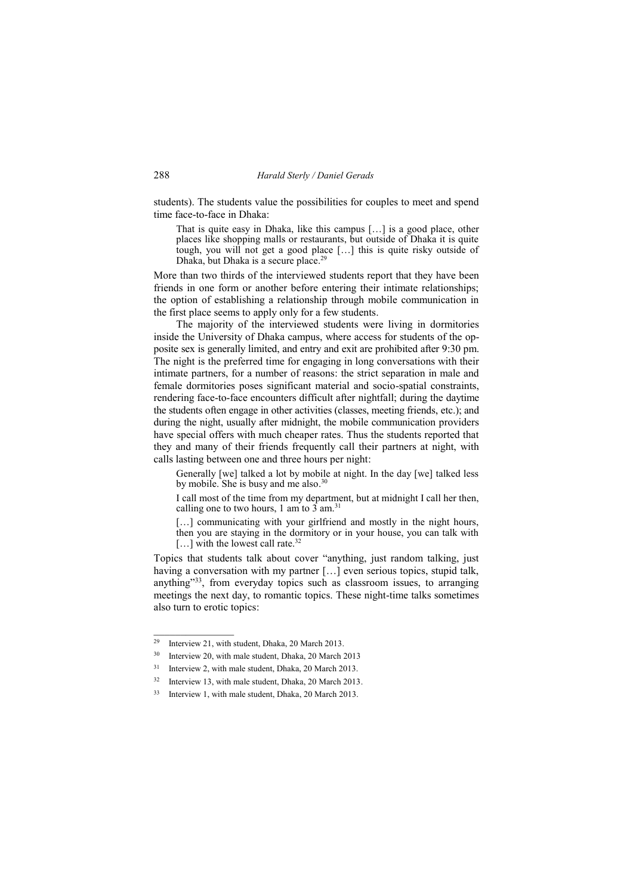students). The students value the possibilities for couples to meet and spend time face-to-face in Dhaka:

That is quite easy in Dhaka, like this campus […] is a good place, other places like shopping malls or restaurants, but outside of Dhaka it is quite tough, you will not get a good place […] this is quite risky outside of Dhaka, but Dhaka is a secure place.<sup>29</sup>

More than two thirds of the interviewed students report that they have been friends in one form or another before entering their intimate relationships; the option of establishing a relationship through mobile communication in the first place seems to apply only for a few students.

The majority of the interviewed students were living in dormitories inside the University of Dhaka campus, where access for students of the opposite sex is generally limited, and entry and exit are prohibited after 9:30 pm. The night is the preferred time for engaging in long conversations with their intimate partners, for a number of reasons: the strict separation in male and female dormitories poses significant material and socio-spatial constraints, rendering face-to-face encounters difficult after nightfall; during the daytime the students often engage in other activities (classes, meeting friends, etc.); and during the night, usually after midnight, the mobile communication providers have special offers with much cheaper rates. Thus the students reported that they and many of their friends frequently call their partners at night, with calls lasting between one and three hours per night:

Generally [we] talked a lot by mobile at night. In the day [we] talked less by mobile. She is busy and me also.<sup>30</sup>

I call most of the time from my department, but at midnight I call her then, calling one to two hours, 1 am to  $\overline{3}$  am.<sup>31</sup>

[...] communicating with your girlfriend and mostly in the night hours, then you are staying in the dormitory or in your house, you can talk with  $[\dots]$  with the lowest call rate.<sup>32</sup>

Topics that students talk about cover "anything, just random talking, just having a conversation with my partner [...] even serious topics, stupid talk, anything"<sup>33</sup>, from everyday topics such as classroom issues, to arranging meetings the next day, to romantic topics. These night-time talks sometimes also turn to erotic topics:

<sup>29</sup> Interview 21, with student, Dhaka, 20 March 2013.

<sup>30</sup> Interview 20, with male student, Dhaka, 20 March 2013

<sup>31</sup> Interview 2, with male student, Dhaka, 20 March 2013.

<sup>32</sup> Interview 13, with male student, Dhaka, 20 March 2013.

<sup>33</sup> Interview 1, with male student, Dhaka, 20 March 2013.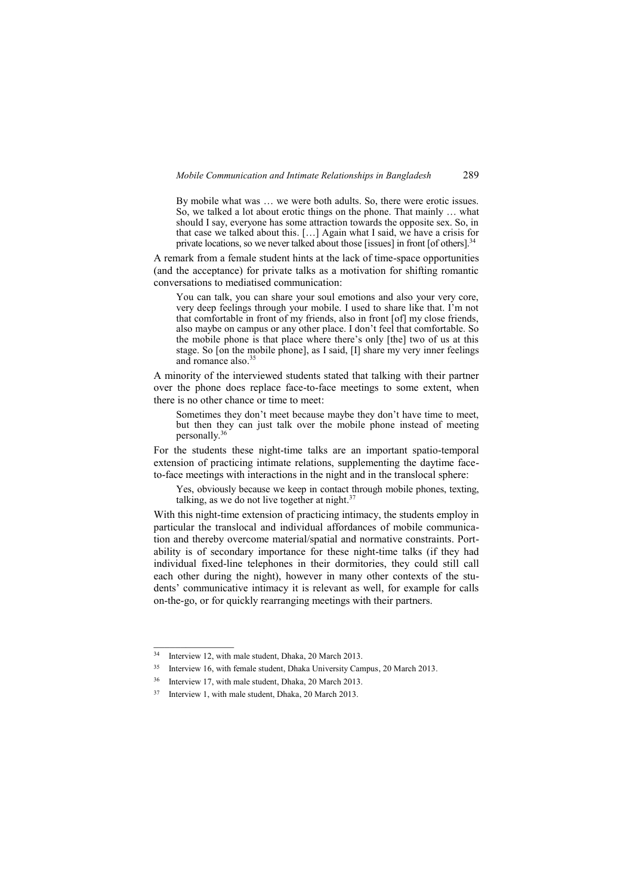By mobile what was … we were both adults. So, there were erotic issues. So, we talked a lot about erotic things on the phone. That mainly … what should I say, everyone has some attraction towards the opposite sex. So, in that case we talked about this. […] Again what I said, we have a crisis for private locations, so we never talked about those [issues] in front [of others].<sup>34</sup>

A remark from a female student hints at the lack of time-space opportunities (and the acceptance) for private talks as a motivation for shifting romantic conversations to mediatised communication:

You can talk, you can share your soul emotions and also your very core, very deep feelings through your mobile. I used to share like that. I'm not that comfortable in front of my friends, also in front [of] my close friends, also maybe on campus or any other place. I don't feel that comfortable. So the mobile phone is that place where there's only [the] two of us at this stage. So [on the mobile phone], as I said, [I] share my very inner feelings and romance also.<sup>35</sup>

A minority of the interviewed students stated that talking with their partner over the phone does replace face-to-face meetings to some extent, when there is no other chance or time to meet:

Sometimes they don't meet because maybe they don't have time to meet, but then they can just talk over the mobile phone instead of meeting personally.<sup>36</sup>

For the students these night-time talks are an important spatio-temporal extension of practicing intimate relations, supplementing the daytime faceto-face meetings with interactions in the night and in the translocal sphere:

Yes, obviously because we keep in contact through mobile phones, texting, talking, as we do not live together at night.<sup>37</sup>

With this night-time extension of practicing intimacy, the students employ in particular the translocal and individual affordances of mobile communication and thereby overcome material/spatial and normative constraints. Portability is of secondary importance for these night-time talks (if they had individual fixed-line telephones in their dormitories, they could still call each other during the night), however in many other contexts of the students' communicative intimacy it is relevant as well, for example for calls on-the-go, or for quickly rearranging meetings with their partners.

<sup>34</sup> Interview 12, with male student, Dhaka, 20 March 2013.

<sup>35</sup> Interview 16, with female student, Dhaka University Campus, 20 March 2013.

<sup>36</sup> Interview 17, with male student, Dhaka, 20 March 2013.

<sup>37</sup> Interview 1, with male student, Dhaka, 20 March 2013.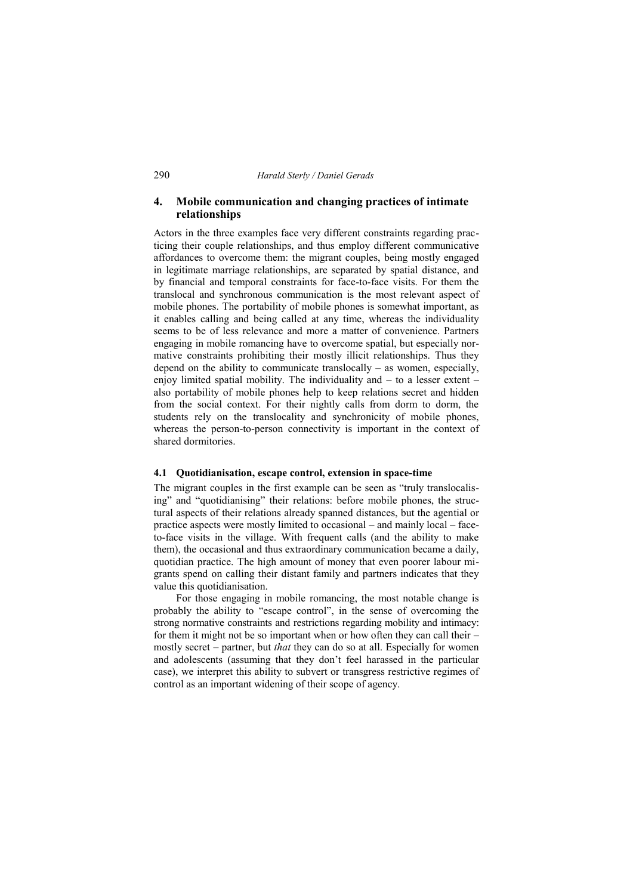# **4. Mobile communication and changing practices of intimate relationships**

Actors in the three examples face very different constraints regarding practicing their couple relationships, and thus employ different communicative affordances to overcome them: the migrant couples, being mostly engaged in legitimate marriage relationships, are separated by spatial distance, and by financial and temporal constraints for face-to-face visits. For them the translocal and synchronous communication is the most relevant aspect of mobile phones. The portability of mobile phones is somewhat important, as it enables calling and being called at any time, whereas the individuality seems to be of less relevance and more a matter of convenience. Partners engaging in mobile romancing have to overcome spatial, but especially normative constraints prohibiting their mostly illicit relationships. Thus they depend on the ability to communicate translocally – as women, especially, enjoy limited spatial mobility. The individuality and – to a lesser extent – also portability of mobile phones help to keep relations secret and hidden from the social context. For their nightly calls from dorm to dorm, the students rely on the translocality and synchronicity of mobile phones, whereas the person-to-person connectivity is important in the context of shared dormitories.

## **4.1 Quotidianisation, escape control, extension in space-time**

The migrant couples in the first example can be seen as "truly translocalising" and "quotidianising" their relations: before mobile phones, the structural aspects of their relations already spanned distances, but the agential or practice aspects were mostly limited to occasional – and mainly local – faceto-face visits in the village. With frequent calls (and the ability to make them), the occasional and thus extraordinary communication became a daily, quotidian practice. The high amount of money that even poorer labour migrants spend on calling their distant family and partners indicates that they value this quotidianisation.

For those engaging in mobile romancing, the most notable change is probably the ability to "escape control", in the sense of overcoming the strong normative constraints and restrictions regarding mobility and intimacy: for them it might not be so important when or how often they can call their – mostly secret – partner, but *that* they can do so at all. Especially for women and adolescents (assuming that they don't feel harassed in the particular case), we interpret this ability to subvert or transgress restrictive regimes of control as an important widening of their scope of agency.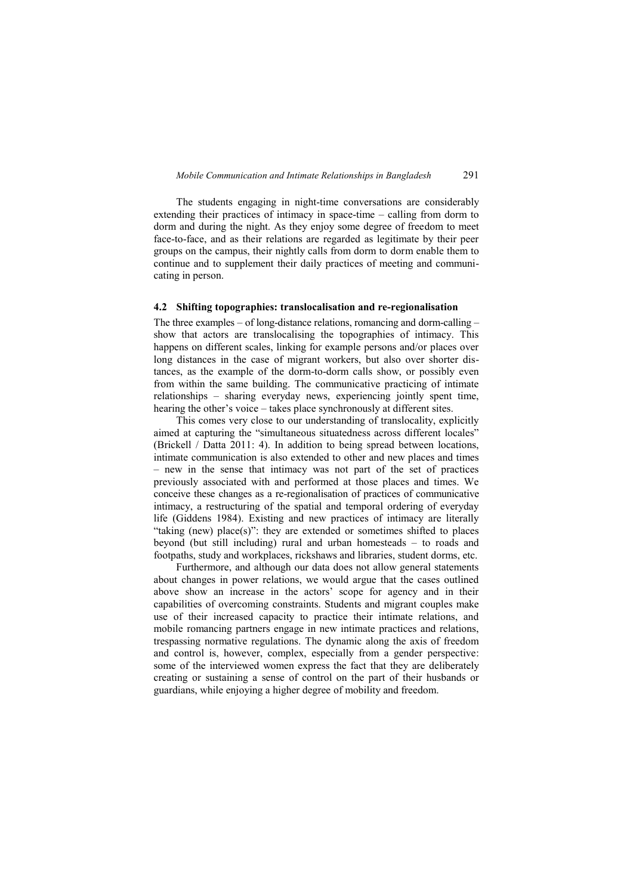The students engaging in night-time conversations are considerably extending their practices of intimacy in space-time – calling from dorm to dorm and during the night. As they enjoy some degree of freedom to meet face-to-face, and as their relations are regarded as legitimate by their peer groups on the campus, their nightly calls from dorm to dorm enable them to continue and to supplement their daily practices of meeting and communicating in person.

#### **4.2 Shifting topographies: translocalisation and re-regionalisation**

The three examples – of long-distance relations, romancing and dorm-calling – show that actors are translocalising the topographies of intimacy. This happens on different scales, linking for example persons and/or places over long distances in the case of migrant workers, but also over shorter distances, as the example of the dorm-to-dorm calls show, or possibly even from within the same building. The communicative practicing of intimate relationships – sharing everyday news, experiencing jointly spent time, hearing the other's voice – takes place synchronously at different sites.

This comes very close to our understanding of translocality, explicitly aimed at capturing the "simultaneous situatedness across different locales" (Brickell / Datta 2011: 4). In addition to being spread between locations, intimate communication is also extended to other and new places and times – new in the sense that intimacy was not part of the set of practices previously associated with and performed at those places and times. We conceive these changes as a re-regionalisation of practices of communicative intimacy, a restructuring of the spatial and temporal ordering of everyday life (Giddens 1984). Existing and new practices of intimacy are literally "taking (new) place(s)": they are extended or sometimes shifted to places beyond (but still including) rural and urban homesteads – to roads and footpaths, study and workplaces, rickshaws and libraries, student dorms, etc.

Furthermore, and although our data does not allow general statements about changes in power relations, we would argue that the cases outlined above show an increase in the actors' scope for agency and in their capabilities of overcoming constraints. Students and migrant couples make use of their increased capacity to practice their intimate relations, and mobile romancing partners engage in new intimate practices and relations, trespassing normative regulations. The dynamic along the axis of freedom and control is, however, complex, especially from a gender perspective: some of the interviewed women express the fact that they are deliberately creating or sustaining a sense of control on the part of their husbands or guardians, while enjoying a higher degree of mobility and freedom.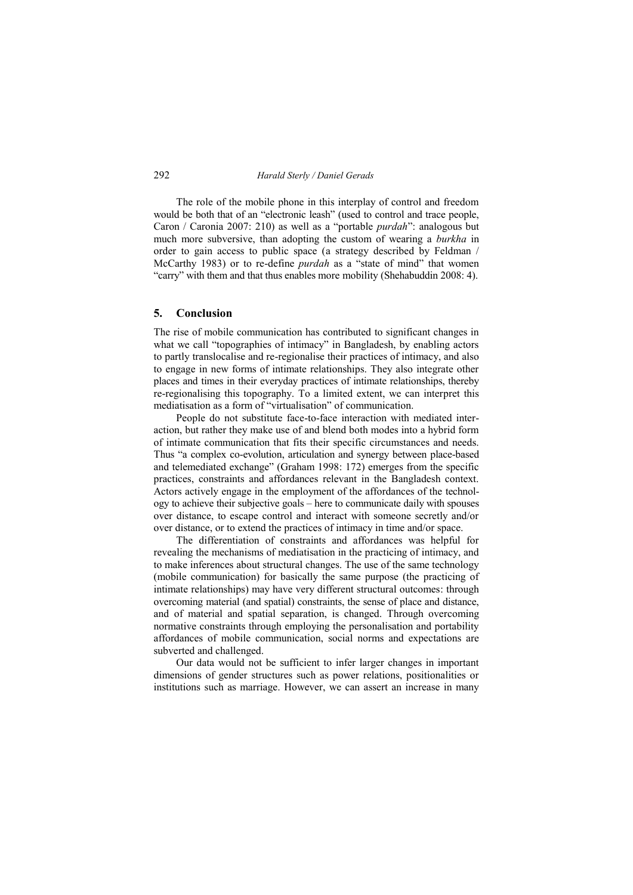The role of the mobile phone in this interplay of control and freedom would be both that of an "electronic leash" (used to control and trace people, Caron / Caronia 2007: 210) as well as a "portable *purdah*": analogous but much more subversive, than adopting the custom of wearing a *burkha* in order to gain access to public space (a strategy described by Feldman / McCarthy 1983) or to re-define *purdah* as a "state of mind" that women "carry" with them and that thus enables more mobility (Shehabuddin 2008: 4).

## **5. Conclusion**

The rise of mobile communication has contributed to significant changes in what we call "topographies of intimacy" in Bangladesh, by enabling actors to partly translocalise and re-regionalise their practices of intimacy, and also to engage in new forms of intimate relationships. They also integrate other places and times in their everyday practices of intimate relationships, thereby re-regionalising this topography. To a limited extent, we can interpret this mediatisation as a form of "virtualisation" of communication.

People do not substitute face-to-face interaction with mediated interaction, but rather they make use of and blend both modes into a hybrid form of intimate communication that fits their specific circumstances and needs. Thus "a complex co-evolution, articulation and synergy between place-based and telemediated exchange" (Graham 1998: 172) emerges from the specific practices, constraints and affordances relevant in the Bangladesh context. Actors actively engage in the employment of the affordances of the technology to achieve their subjective goals – here to communicate daily with spouses over distance, to escape control and interact with someone secretly and/or over distance, or to extend the practices of intimacy in time and/or space.

The differentiation of constraints and affordances was helpful for revealing the mechanisms of mediatisation in the practicing of intimacy, and to make inferences about structural changes. The use of the same technology (mobile communication) for basically the same purpose (the practicing of intimate relationships) may have very different structural outcomes: through overcoming material (and spatial) constraints, the sense of place and distance, and of material and spatial separation, is changed. Through overcoming normative constraints through employing the personalisation and portability affordances of mobile communication, social norms and expectations are subverted and challenged.

Our data would not be sufficient to infer larger changes in important dimensions of gender structures such as power relations, positionalities or institutions such as marriage. However, we can assert an increase in many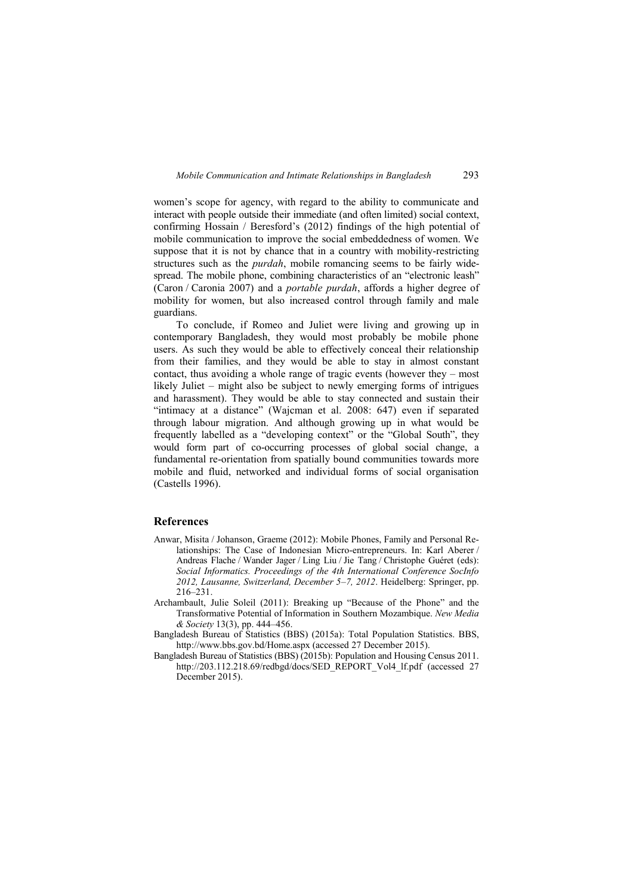women's scope for agency, with regard to the ability to communicate and interact with people outside their immediate (and often limited) social context, confirming Hossain / Beresford's (2012) findings of the high potential of mobile communication to improve the social embeddedness of women. We suppose that it is not by chance that in a country with mobility-restricting structures such as the *purdah*, mobile romancing seems to be fairly widespread. The mobile phone, combining characteristics of an "electronic leash" (Caron / Caronia 2007) and a *portable purdah*, affords a higher degree of mobility for women, but also increased control through family and male guardians.

To conclude, if Romeo and Juliet were living and growing up in contemporary Bangladesh, they would most probably be mobile phone users. As such they would be able to effectively conceal their relationship from their families, and they would be able to stay in almost constant contact, thus avoiding a whole range of tragic events (however they – most likely Juliet – might also be subject to newly emerging forms of intrigues and harassment). They would be able to stay connected and sustain their "intimacy at a distance" (Wajcman et al. 2008: 647) even if separated through labour migration. And although growing up in what would be frequently labelled as a "developing context" or the "Global South", they would form part of co-occurring processes of global social change, a fundamental re-orientation from spatially bound communities towards more mobile and fluid, networked and individual forms of social organisation (Castells 1996).

## **References**

- Anwar, Misita / Johanson, Graeme (2012): Mobile Phones, Family and Personal Relationships: The Case of Indonesian Micro-entrepreneurs. In: Karl Aberer / Andreas Flache / Wander Jager / Ling Liu / Jie Tang / Christophe Guéret (eds): *Social Informatics. Proceedings of the 4th International Conference SocInfo 2012, Lausanne, Switzerland, December 5–7, 2012*. Heidelberg: Springer, pp. 216–231.
- Archambault, Julie Soleil (2011): Breaking up "Because of the Phone" and the Transformative Potential of Information in Southern Mozambique. *New Media & Society* 13(3), pp. 444–456.
- Bangladesh Bureau of Statistics (BBS) (2015a): Total Population Statistics. BBS, http://www.bbs.gov.bd/Home.aspx (accessed 27 December 2015).
- Bangladesh Bureau of Statistics (BBS) (2015b): Population and Housing Census 2011. http://203.112.218.69/redbgd/docs/SED\_REPORT\_Vol4\_lf.pdf (accessed 27) December 2015).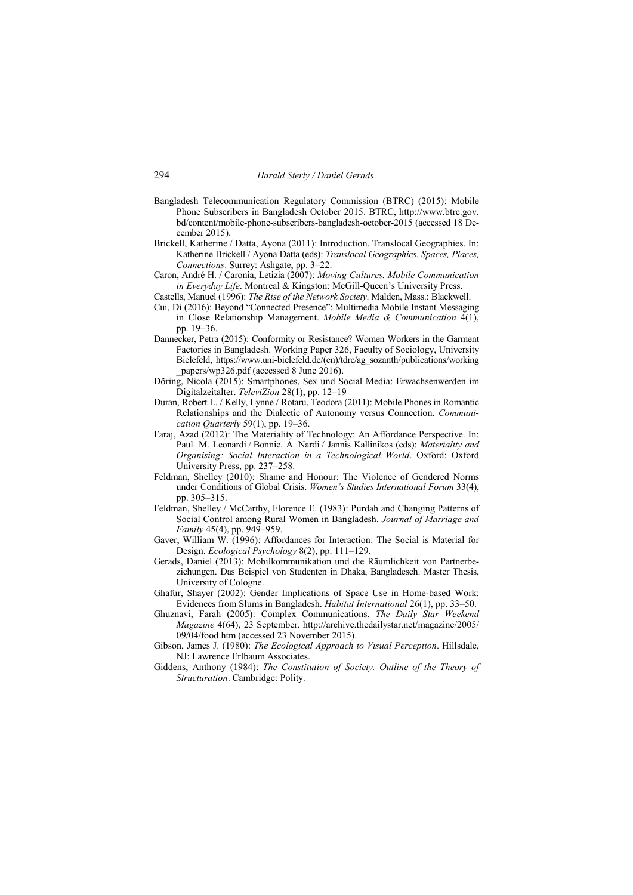- Bangladesh Telecommunication Regulatory Commission (BTRC) (2015): Mobile Phone Subscribers in Bangladesh October 2015. BTRC, http://www.btrc.gov. bd/content/mobile-phone-subscribers-bangladesh-october-2015 (accessed 18 December 2015).
- Brickell, Katherine / Datta, Ayona (2011): Introduction. Translocal Geographies. In: Katherine Brickell / Ayona Datta (eds): *Translocal Geographies. Spaces, Places, Connections*. Surrey: Ashgate, pp. 3–22.
- Caron, André H. / Caronia, Letizia (2007): *Moving Cultures. Mobile Communication in Everyday Life*. Montreal & Kingston: McGill-Queen's University Press.

Castells, Manuel (1996): *The Rise of the Network Society*. Malden, Mass.: Blackwell.

- Cui, Di (2016): Beyond "Connected Presence": Multimedia Mobile Instant Messaging in Close Relationship Management. *Mobile Media & Communication* 4(1), pp. 19–36.
- Dannecker, Petra (2015): Conformity or Resistance? Women Workers in the Garment Factories in Bangladesh. Working Paper 326, Faculty of Sociology, University Bielefeld, https://www.uni-bielefeld.de/(en)/tdrc/ag\_sozanth/publications/working papers/wp326.pdf (accessed 8 June 2016).
- Döring, Nicola (2015): Smartphones, Sex und Social Media: Erwachsenwerden im Digitalzeitalter. *TeleviZion* 28(1), pp. 12–19
- Duran, Robert L. / Kelly, Lynne / Rotaru, Teodora (2011): Mobile Phones in Romantic Relationships and the Dialectic of Autonomy versus Connection. *Communication Quarterly* 59(1), pp. 19–36.
- Faraj, Azad (2012): The Materiality of Technology: An Affordance Perspective. In: Paul. M. Leonardi / Bonnie. A. Nardi / Jannis Kallinikos (eds): *Materiality and Organising: Social Interaction in a Technological World*. Oxford: Oxford University Press, pp. 237–258.
- Feldman, Shelley (2010): Shame and Honour: The Violence of Gendered Norms under Conditions of Global Crisis. *Women's Studies International Forum* 33(4), pp. 305–315.
- Feldman, Shelley / McCarthy, Florence E. (1983): Purdah and Changing Patterns of Social Control among Rural Women in Bangladesh. *Journal of Marriage and Family* 45(4), pp. 949–959.
- Gaver, William W. (1996): Affordances for Interaction: The Social is Material for Design. *Ecological Psychology* 8(2), pp. 111–129.
- Gerads, Daniel (2013): Mobilkommunikation und die Räumlichkeit von Partnerbeziehungen. Das Beispiel von Studenten in Dhaka, Bangladesch. Master Thesis, University of Cologne.
- Ghafur, Shayer (2002): Gender Implications of Space Use in Home-based Work: Evidences from Slums in Bangladesh. *Habitat International* 26(1), pp. 33–50.
- Ghuznavi, Farah (2005): Complex Communications. *The Daily Star Weekend Magazine* 4(64), 23 September. http://archive.thedailystar.net/magazine/2005/ 09/04/food.htm (accessed 23 November 2015).
- Gibson, James J. (1980): *The Ecological Approach to Visual Perception*. Hillsdale, NJ: Lawrence Erlbaum Associates.
- Giddens, Anthony (1984): *The Constitution of Society. Outline of the Theory of Structuration*. Cambridge: Polity.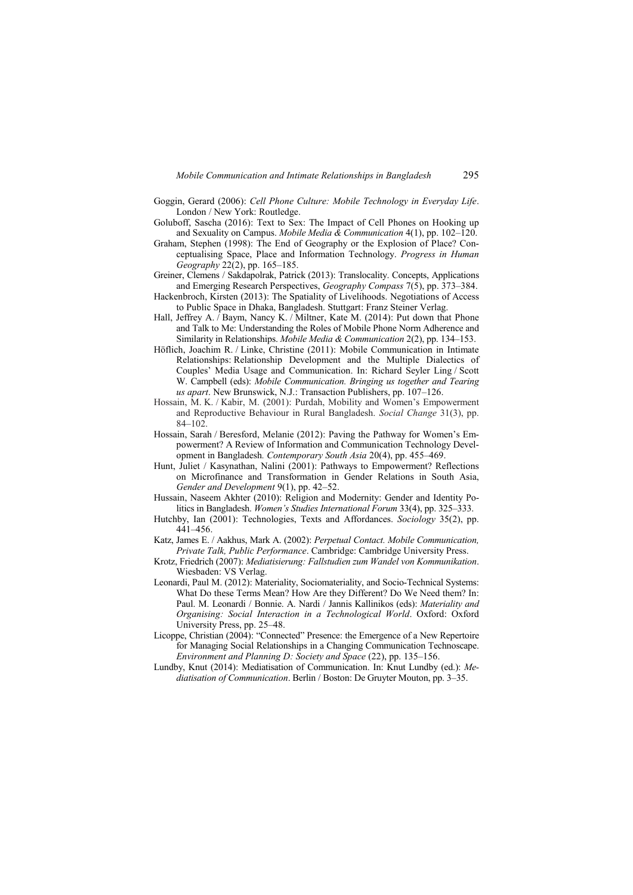- Goggin, Gerard (2006): *Cell Phone Culture: Mobile Technology in Everyday Life*. London / New York: Routledge.
- Goluboff, Sascha (2016): Text to Sex: The Impact of Cell Phones on Hooking up and Sexuality on Campus. *Mobile Media & Communication* 4(1), pp. 102–120.
- Graham, Stephen (1998): The End of Geography or the Explosion of Place? Conceptualising Space, Place and Information Technology. *Progress in Human Geography* 22(2), pp. 165–185.
- Greiner, Clemens / Sakdapolrak, Patrick (2013): Translocality. Concepts, Applications and Emerging Research Perspectives, *Geography Compass* 7(5), pp. 373–384.
- Hackenbroch, Kirsten (2013): The Spatiality of Livelihoods. Negotiations of Access to Public Space in Dhaka, Bangladesh. Stuttgart: Franz Steiner Verlag.
- Hall, Jeffrey A. / Baym, Nancy K. / Miltner, Kate M. (2014): Put down that Phone and Talk to Me: Understanding the Roles of Mobile Phone Norm Adherence and Similarity in Relationships. *Mobile Media & Communication* 2(2), pp. 134–153.
- Höflich, Joachim R. / Linke, Christine (2011): Mobile Communication in Intimate Relationships: Relationship Development and the Multiple Dialectics of Couples' Media Usage and Communication. In: Richard Seyler Ling / Scott W. Campbell (eds): *Mobile Communication. Bringing us together and Tearing us apart*. New Brunswick, N.J.: Transaction Publishers, pp. 107–126.
- Hossain, M. K. / Kabir, M. (2001): Purdah, Mobility and Women's Empowerment and Reproductive Behaviour in Rural Bangladesh. *Social Change* 31(3), pp. 84–102.
- Hossain, Sarah / Beresford, Melanie (2012): Paving the Pathway for Women's Empowerment? A Review of Information and Communication Technology Development in Bangladesh*. Contemporary South Asia* 20(4), pp. 455–469.
- Hunt, Juliet / Kasynathan, Nalini (2001): Pathways to Empowerment? Reflections on Microfinance and Transformation in Gender Relations in South Asia, *Gender and Development* 9(1), pp. 42–52.
- Hussain, Naseem Akhter (2010): Religion and Modernity: Gender and Identity Politics in Bangladesh. *Women's Studies International Forum* 33(4), pp. 325–333.
- Hutchby, Ian (2001): Technologies, Texts and Affordances. *Sociology* 35(2), pp. 441–456.
- Katz, James E. / Aakhus, Mark A. (2002): *Perpetual Contact. Mobile Communication, Private Talk, Public Performance*. Cambridge: Cambridge University Press.
- Krotz, Friedrich (2007): *Mediatisierung: Fallstudien zum Wandel von Kommunikation*. Wiesbaden: VS Verlag.
- Leonardi, Paul M. (2012): Materiality, Sociomateriality, and Socio-Technical Systems: What Do these Terms Mean? How Are they Different? Do We Need them? In: Paul. M. Leonardi / Bonnie. A. Nardi / Jannis Kallinikos (eds): *Materiality and Organising: Social Interaction in a Technological World*. Oxford: Oxford University Press, pp. 25–48.
- Licoppe, Christian (2004): "Connected" Presence: the Emergence of a New Repertoire for Managing Social Relationships in a Changing Communication Technoscape. *Environment and Planning D: Society and Space* (22), pp. 135–156.
- Lundby, Knut (2014): Mediatisation of Communication. In: Knut Lundby (ed.): *Mediatisation of Communication*. Berlin / Boston: De Gruyter Mouton, pp. 3–35.